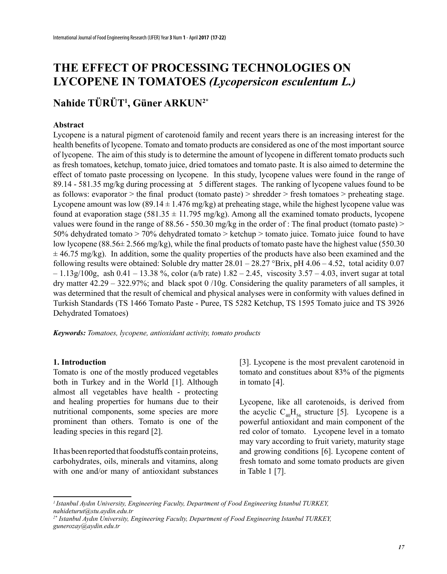# **THE EFFECT OF PROCESSING TECHNOLOGIES ON LYCOPENE IN TOMATOES** *(Lycopersicon esculentum L.)*

## **Nahide TÜRÜT1 , Güner ARKUN2\***

#### **Abstract**

Lycopene is a natural pigment of carotenoid family and recent years there is an increasing interest for the health benefits of lycopene. Tomato and tomato products are considered as one of the most important source of lycopene. The aim of this study is to determine the amount of lycopene in different tomato products such as fresh tomatoes, ketchup, tomato juice, dried tomatoes and tomato paste. It is also aimed to determine the effect of tomato paste processing on lycopene. In this study, lycopene values were found in the range of 89.14 - 581.35 mg/kg during processing at 5 different stages. The ranking of lycopene values found to be as follows: evaporator  $>$  the final product (tomato paste)  $>$  shredder  $>$  fresh tomatoes  $>$  preheating stage. Lycopene amount was low  $(89.14 \pm 1.476 \text{ mg/kg})$  at preheating stage, while the highest lycopene value was found at evaporation stage (581.35  $\pm$  11.795 mg/kg). Among all the examined tomato products, lycopene values were found in the range of 88.56 - 550.30 mg/kg in the order of : The final product (tomato paste) > 50% dehydrated tomato  $> 70\%$  dehydrated tomato  $>$  ketchup  $>$  tomato juice. Tomato juice found to have low lycopene (88.56 $\pm$  2.566 mg/kg), while the final products of tomato paste have the highest value (550.30)  $\pm$  46.75 mg/kg). In addition, some the quality properties of the products have also been examined and the following results were obtained: Soluble dry matter  $28.01 - 28.27$  °Brix, pH  $4.06 - 4.52$ , total acidity 0.07 – 1.13g/100g, ash 0.41 – 13.38 %, color (a/b rate) 1.82 – 2.45, viscosity 3.57 – 4.03, invert sugar at total dry matter 42.29 – 322.97%; and black spot 0 /10g. Considering the quality parameters of all samples, it was determined that the result of chemical and physical analyses were in conformity with values defined in Turkish Standards (TS 1466 Tomato Paste - Puree, TS 5282 Ketchup, TS 1595 Tomato juice and TS 3926 Dehydrated Tomatoes)

*Keywords: Tomatoes, lycopene, antioxidant activity, tomato products*

#### **1. Introduction**

Tomato is one of the mostly produced vegetables both in Turkey and in the World [1]. Although almost all vegetables have health - protecting and healing properties for humans due to their nutritional components, some species are more prominent than others. Tomato is one of the leading species in this regard [2].

It has been reported that foodstuffs contain proteins, carbohydrates, oils, minerals and vitamins, along with one and/or many of antioxidant substances

[3]. Lycopene is the most prevalent carotenoid in tomato and constitues about 83% of the pigments in tomato [4].

Lycopene, like all carotenoids, is derived from the acyclic  $C_{40}H_{56}$  structure [5]. Lycopene is a powerful antioxidant and main component of the red color of tomato. Lycopene level in a tomato may vary according to fruit variety, maturity stage and growing conditions [6]. Lycopene content of fresh tomato and some tomato products are given in Table 1 [7].

*<sup>1</sup>Istanbul Aydın University, Engineering Faculty, Department of Food Engineering Istanbul TURKEY, nahideturut@stu.aydin.edu.tr*

*<sup>2\*</sup> Istanbul Aydın University, Engineering Faculty, Department of Food Engineering Istanbul TURKEY, gunerozay@aydin.edu.tr*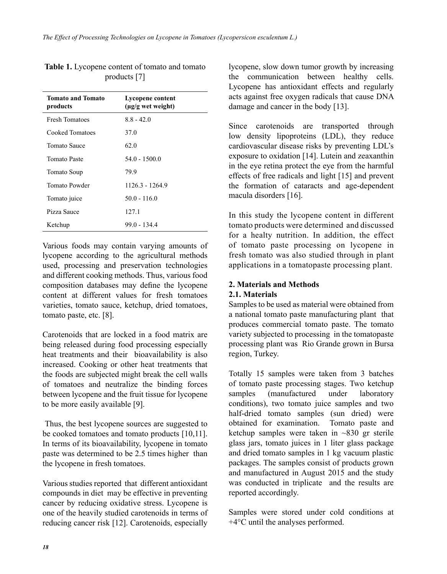| <b>Tomato and Tomato</b><br>products | Lycopene content<br>(µg/g wet weight) |
|--------------------------------------|---------------------------------------|
| <b>Fresh Tomatoes</b>                | $8.8 - 42.0$                          |
| Cooked Tomatoes                      | 37.0                                  |
| <b>Tomato Sauce</b>                  | 62.0                                  |
| Tomato Paste                         | 54 0 - 1500 0                         |
| Tomato Soup                          | 79.9                                  |
| Tomato Powder                        | 1126.3 - 1264.9                       |
| Tomato juice                         | $500 - 1160$                          |
| Pizza Sauce                          | 127.1                                 |
| Ketchup                              | 990 - 1344                            |

**Table 1.** Lycopene content of tomato and tomato products [7]

Various foods may contain varying amounts of lycopene according to the agricultural methods used, processing and preservation technologies and different cooking methods. Thus, various food composition databases may define the lycopene content at different values for fresh tomatoes varieties, tomato sauce, ketchup, dried tomatoes, tomato paste, etc. [8].

Carotenoids that are locked in a food matrix are being released during food processing especially heat treatments and their bioavailability is also increased. Cooking or other heat treatments that the foods are subjected might break the cell walls of tomatoes and neutralize the binding forces between lycopene and the fruit tissue for lycopene to be more easily available [9].

 Thus, the best lycopene sources are suggested to be cooked tomatoes and tomato products [10,11]. In terms of its bioavailability, lycopene in tomato paste was determined to be 2.5 times higher than the lycopene in fresh tomatoes.

Various studies reported that different antioxidant compounds in diet may be effective in preventing cancer by reducing oxidative stress. Lycopene is one of the heavily studied carotenoids in terms of reducing cancer risk [12]. Carotenoids, especially lycopene, slow down tumor growth by increasing the communication between healthy cells. Lycopene has antioxidant effects and regularly acts against free oxygen radicals that cause DNA damage and cancer in the body [13].

Since carotenoids are transported through low density lipoproteins (LDL), they reduce cardiovascular disease risks by preventing LDL's exposure to oxidation [14]. Lutein and zeaxanthin in the eye retina protect the eye from the harmful effects of free radicals and light [15] and prevent the formation of cataracts and age-dependent macula disorders [16].

In this study the lycopene content in different tomato products were determined and discussed for a healty nutrition. In addition, the effect of tomato paste processing on lycopene in fresh tomato was also studied through in plant applications in a tomatopaste processing plant.

### **2. Materials and Methods**

#### **2.1. Materials**

Samples to be used as material were obtained from a national tomato paste manufacturing plant that produces commercial tomato paste. The tomato variety subjected to processing in the tomatopaste processing plant was Rio Grande grown in Bursa region, Turkey.

Totally 15 samples were taken from 3 batches of tomato paste processing stages. Two ketchup samples (manufactured under laboratory conditions), two tomato juice samples and two half-dried tomato samples (sun dried) were obtained for examination. Tomato paste and ketchup samples were taken in ~830 gr sterile glass jars, tomato juices in 1 liter glass package and dried tomato samples in 1 kg vacuum plastic packages. The samples consist of products grown and manufactured in August 2015 and the study was conducted in triplicate and the results are reported accordingly.

Samples were stored under cold conditions at +4°C until the analyses performed.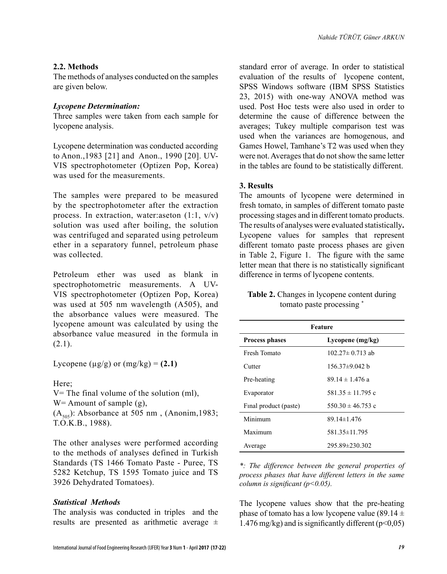#### **2.2. Methods**

The methods of analyses conducted on the samples are given below.

#### *Lycopene Determination:*

Three samples were taken from each sample for lycopene analysis.

Lycopene determination was conducted according to Anon.,1983 [21] and Anon., 1990 [20]. UV-VIS spectrophotometer (Optizen Pop, Korea) was used for the measurements.

The samples were prepared to be measured by the spectrophotometer after the extraction process. In extraction, water:aseton  $(1:1, v/v)$ solution was used after boiling, the solution was centrifuged and separated using petroleum ether in a separatory funnel, petroleum phase was collected.

Petroleum ether was used as blank in spectrophotometric measurements. A UV-VIS spectrophotometer (Optizen Pop, Korea) was used at 505 nm wavelength (A505), and the absorbance values were measured. The lycopene amount was calculated by using the absorbance value measured in the formula in  $(2.1)$ .

Lycopene ( $\mu$ g/g) or (mg/kg) = **(2.1)** 

Here;

 $V=$  The final volume of the solution (ml), W = Amount of sample (g),  $(A_{505})$ : Absorbance at 505 nm, (Anonim, 1983; T.O.K.B., 1988).

The other analyses were performed according to the methods of analyses defined in Turkish Standards (TS 1466 Tomato Paste - Puree, TS 5282 Ketchup, TS 1595 Tomato juice and TS 3926 Dehydrated Tomatoes).

#### *Statistical Methods*

The analysis was conducted in triples and the results are presented as arithmetic average  $\pm$ 

standard error of average. In order to statistical evaluation of the results of lycopene content, SPSS Windows software (IBM SPSS Statistics 23, 2015) with one-way ANOVA method was used. Post Hoc tests were also used in order to determine the cause of difference between the averages; Tukey multiple comparison test was used when the variances are homogenous, and Games Howel, Tamhane's T2 was used when they were not. Averages that do not show the same letter in the tables are found to be statistically different.

#### **3. Results**

The amounts of lycopene were determined in fresh tomato, in samples of different tomato paste processing stages and in different tomato products. The results of analyses were evaluated statistically**.** Lycopene values for samples that represent different tomato paste process phases are given in Table 2, Figure 1. The figure with the same letter mean that there is no statistically significant difference in terms of lycopene contents.

**Table 2.** Changes in lycopene content during tomato paste processing \*

| <b>Feature</b>        |                       |  |  |
|-----------------------|-----------------------|--|--|
| <b>Process phases</b> | Lycopene $(mg/kg)$    |  |  |
| Fresh Tomato          | $102.27 \pm 0.713$ ab |  |  |
| Cutter                | 156.37±9.042 b        |  |  |
| Pre-heating           | 89 14 $\pm$ 1 476 a   |  |  |
| Evaporator            | $581.35 \pm 11.795$ c |  |  |
| Final product (paste) | $550.30 \pm 46.753$ c |  |  |
| Minimum               | $89.14 \pm 1.476$     |  |  |
| Maximum               | 581.35 ± 11.795       |  |  |
| Average               | $295.89 \pm 230.302$  |  |  |

*\*: The difference between the general properties of process phases that have different letters in the same column is significant (p<0.05).*

The lycopene values show that the pre-heating phase of tomato has a low lycopene value (89.14  $\pm$ 1.476 mg/kg) and is significantly different  $(p<0.05)$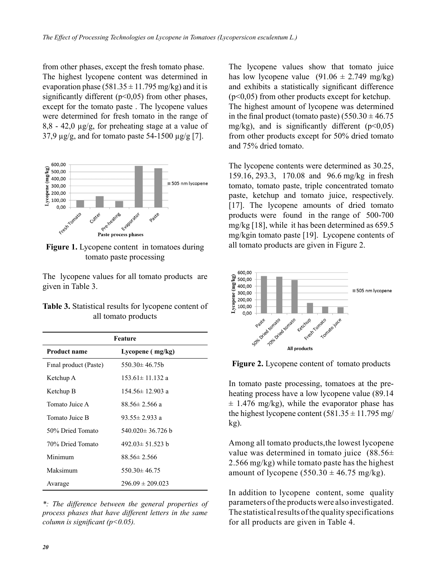from other phases, except the fresh tomato phase. The highest lycopene content was determined in evaporation phase (581.35  $\pm$  11.795 mg/kg) and it is significantly different  $(p<0.05)$  from other phases, except for the tomato paste . The lycopene values were determined for fresh tomato in the range of 8,8 - 42,0 µg/g, for preheating stage at a value of 37.9  $\mu$ g/g, and for tomato paste 54-1500  $\mu$ g/g [7].



**Figure 1.** Lycopene content in tomatoes during tomato paste processing

The lycopene values for all tomato products are given in Table 3.

| <b>Table 3.</b> Statistical results for lycopene content of |
|-------------------------------------------------------------|
| all tomato products                                         |

| Feature               |                        |  |  |
|-----------------------|------------------------|--|--|
| <b>Product name</b>   | Lycopene (mg/kg)       |  |  |
| Final product (Paste) | $550.30 \pm 46.75b$    |  |  |
| Ketchup A             | $153.61 \pm 11.132$ a  |  |  |
| Ketchup B             | $154.56 \pm 12.903$ a  |  |  |
| Tomato Juice A        | $88.56 \pm 2.566$ a    |  |  |
| Tomato Juice B        | 93.55 $\pm$ 2.933 a    |  |  |
| 50% Dried Tomato      | 540.020 $\pm$ 36.726 b |  |  |
| 70% Dried Tomato      | $492.03 \pm 51.523$ b  |  |  |
| Minimum               | $88.56 \pm 2.566$      |  |  |
| Maksimum              | $550.30 \pm 46.75$     |  |  |
| Avarage               | $296.09 \pm 209.023$   |  |  |

*\*: The difference between the general properties of process phases that have different letters in the same column is significant (p<0.05).* 

The lycopene values show that tomato juice has low lycopene value  $(91.06 \pm 2.749 \text{ mg/kg})$ and exhibits a statistically significant difference  $(p<0.05)$  from other products except for ketchup. The highest amount of lycopene was determined in the final product (tomato paste)  $(550.30 \pm 46.75$ mg/kg), and is significantly different  $(p<0.05)$ from other products except for 50% dried tomato and 75% dried tomato.

The lycopene contents were determined as 30.25, 159.16, 293.3, 170.08 and 96.6 mg/kg in fresh tomato, tomato paste, triple concentrated tomato paste, ketchup and tomato juice, respectively. [17]. The lycopene amounts of dried tomato products were found in the range of 500-700 mg/kg [18], while it has been determined as 659.5 mg/kgin tomato paste [19]. Lycopene contents of all tomato products are given in Figure 2.



**Figure 2.** Lycopene content of tomato products

In tomato paste processing, tomatoes at the preheating process have a low lycopene value (89.14  $\pm$  1.476 mg/kg), while the evaporator phase has the highest lycopene content  $(581.35 \pm 11.795 \text{ mg}/$ kg).

Among all tomato products,the lowest lycopene value was determined in tomato juice  $(88.56\pm)$ 2.566 mg/kg) while tomato paste has the highest amount of lycopene  $(550.30 \pm 46.75 \text{ mg/kg})$ .

In addition to lycopene content, some quality parameters of the products were also investigated. The statistical results of the quality specifications for all products are given in Table 4.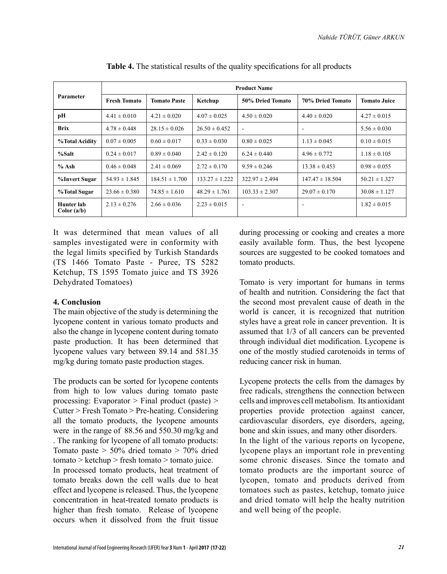| Parameter                 | <b>Product Name</b> |                     |                    |                          |                     |                     |
|---------------------------|---------------------|---------------------|--------------------|--------------------------|---------------------|---------------------|
|                           | <b>Fresh Tomato</b> | <b>Tomato Paste</b> | Ketchup            | 50% Dried Tomato         | 70% Dried Tomato    | <b>Tomato Juice</b> |
| pН                        | $4.41 \pm 0.010$    | $4.21 \pm 0.020$    | $4.07 \pm 0.025$   | $4.50 \pm 0.020$         | $4.40 \pm 0.020$    | $4.27 \pm 0.015$    |
| <b>Brix</b>               | $4.78 \pm 0.448$    | $28.15 \pm 0.026$   | $26.50 \pm 0.452$  | $\overline{\phantom{a}}$ |                     | $5.56 \pm 0.030$    |
| <b>%Total Acidity</b>     | $0.07 \pm 0.005$    | $0.60 \pm 0.017$    | $0.33 \pm 0.030$   | $0.80 \pm 0.025$         | $1.13 \pm 0.045$    | $0.10 \pm 0.015$    |
| %Salt                     | $0.24 \pm 0.017$    | $0.89 \pm 0.040$    | $2.42 \pm 0.120$   | $6.24 \pm 0.440$         | $4.96 \pm 0.772$    | $1.18 \pm 0.105$    |
| $%$ Ash                   | $0.46 \pm 0.048$    | $2.41 \pm 0.069$    | $2.72 \pm 0.170$   | $9.59 \pm 0.246$         | $13.38 \pm 0.453$   | $0.98 \pm 0.055$    |
| %Invert Sugar             | $54.93 \pm 1.845$   | $184.51 \pm 1.700$  | $133.27 \pm 1.222$ | $322.97 \pm 2.494$       | $147.47 \pm 18.504$ | $50.21 \pm 1.327$   |
| %Total Sugar              | $23.66 \pm 0.380$   | $74.85 \pm 1.610$   | $48.29 \pm 1.761$  | $103.33 \pm 2.307$       | $29.07 \pm 0.170$   | $30.08 \pm 1.127$   |
| Hunter lab<br>Color (a/b) | $2.13 \pm 0.276$    | $2.66 \pm 0.036$    | $2.23 \pm 0.015$   | $\overline{\phantom{a}}$ |                     | $1.82 \pm 0.015$    |

| <b>Table 4.</b> The statistical results of the quality specifications for all products |  |  |
|----------------------------------------------------------------------------------------|--|--|
|----------------------------------------------------------------------------------------|--|--|

It was determined that mean values of all samples investigated were in conformity with the legal limits specified by Turkish Standards (TS 1466 Tomato Paste - Puree, TS 5282 Ketchup, TS 1595 Tomato juice and TS 3926 Dehydrated Tomatoes)

#### **4. Conclusion**

The main objective of the study is determining the lycopene content in various tomato products and also the change in lycopene content during tomato paste production. It has been determined that lycopene values vary between 89.14 and 581.35 mg/kg during tomato paste production stages.

The products can be sorted for lycopene contents from high to low values during tomato paste processing: Evaporator > Final product (paste) > Cutter > Fresh Tomato > Pre-heating. Considering all the tomato products, the lycopene amounts were in the range of 88.56 and 550.30 mg/kg and . The ranking for lycopene of all tomato products: Tomato paste > 50% dried tomato > 70% dried tomato > ketchup > fresh tomato > tomato juice. In processed tomato products, heat treatment of tomato breaks down the cell walls due to heat effect and lycopene is released. Thus, the lycopene concentration in heat-treated tomato products is higher than fresh tomato. Release of lycopene during processing or cooking and creates a more easily available form. Thus, the best lycopene sources are suggested to be cooked tomatoes and tomato products.

Tomato is very important for humans in terms of health and nutrition. Considering the fact that the second most prevalent cause of death in the world is cancer, it is recognized that nutrition styles have a great role in cancer prevention. It is assumed that 1/3 of all cancers can be prevented through individual diet modification. Lycopene is one of the mostly studied carotenoids in terms of reducing cancer risk in human.

Lycopene protects the cells from the damages by free radicals, strengthens the connection between cells and improves cell metabolism. Its antioxidant properties provide protection against cancer, cardiovascular disorders, eye disorders, ageing, bone and skin issues, and many other disorders. In the light of the various reports on lycopene, lycopene plays an important role in preventing some chronic diseases. Since the tomato and tomato products are the important source of lycopen, tomato and products derived from tomatoes such as pastes, ketchup, tomato juice and dried tomato will help the healty nutrition and well being of the people.

occurs when it dissolved from the fruit tissue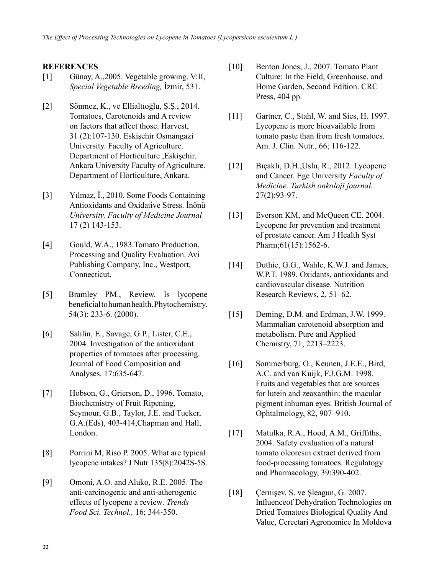#### **REFERENCES**

- [1] Günay, A.,2005. Vegetable growing. V:II, *Special Vegetable Breeding,* İzmir, 531.
- [2] Sönmez, K., ve Ellialtıoğlu, Ş.Ş., 2014. Tomatoes, Carotenoids and A review on factors that affect those. Harvest, 31 (2):107-130. Eskişehir Osmangazi University. Faculty of Agriculture. Department of Horticulture ,Eskişehir. Ankara University Faculty of Agriculture. Department of Horticulture, Ankara.
- [3] Yılmaz, İ., 2010. Some Foods Containing Antioxidants and Oxidative Stress. İnönü *University. Faculty of Medicine Journal*  17 (2) 143-153.
- [4] Gould, W.A., 1983. Tomato Production, Processing and Quality Evaluation. Avi Publishing Company, Inc., Westport, Connecticut.
- [5] Bramley PM., Review. Is lycopene beneficial to human health. Phytochemistry. 54(3): 233-6. (2000).
- [6] Sahlin, E., Savage, G.P., Lister, C.E., 2004. Investigation of the antioxidant properties of tomatoes after processing. Journal of Food Composition and Analyses. 17:635-647.
- [7] Hobson, G., Grierson, D., 1996. Tomato, Biochemistry of Fruit Ripening, Seymour, G.B., Taylor, J.E. and Tucker, G.A.(Eds), 403-414,Chapman and Hall, London.
- [8] Porrini M, Riso P. 2005. What are typical lycopene intakes? J Nutr 135(8):2042S-5S.
- [9] Omoni, A.O. and Aluko, R.E. 2005. The anti-carcinogenic and anti-atherogenic effects of lycopene a review*. Trends Food Sci. Technol.,* 16; 344-350.
- [10] Benton Jones, J., 2007. Tomato Plant Culture: In the Field, Greenhouse, and Home Garden, Second Edition. CRC Press, 404 pp.
- [11] Gartner, C., Stahl, W. and Sies, H. 1997. Lycopene is more bioavailable from tomato paste than from fresh tomatoes. Am. J. Clin. Nutr., 66; 116-122.
- [12] Bıçaklı, D.H.,Uslu, R., 2012. Lycopene and Cancer. Ege University *Faculty of Medicine. Turkish onkoloji journal.* 27(2):93-97.
- [13] Everson KM, and McQueen CE. 2004. Lycopene for prevention and treatment of prostate cancer. Am J Health Syst Pharm; 61(15): 1562-6.
- [14] Duthie, G.G., Wahle, K.W.J. and James, W.P.T. 1989. Oxidants, antioxidants and cardiovascular disease. Nutrition Research Reviews, 2, 51–62.
- [15] Deming, D.M. and Erdman, J.W. 1999. Mammalian carotenoid absorption and metabolism. Pure and Applied Chemistry, 71, 2213–2223.
- [16] Sommerburg, O., Keunen, J.E.E., Bird, A.C. and van Kuijk, F.J.G.M. 1998. Fruits and vegetables that are sources for lutein and zeaxanthin: the macular pigment inhuman eyes. British Journal of Ophtalmology, 82, 907–910.
- [17] Matulka, R.A., Hood, A.M., Griffıths, 2004. Safety evaluation of a natural tomato oleoresin extract derived from food-processing tomatoes. Regulatogy and Pharmacology, 39:390-402.
- [18] Cernişev, S. ve Şleagun, G. 2007. Influenceof Dehydration Technologies on Dried Tomatoes Biological Quality And Value, Cercetari Agronomice In Moldova